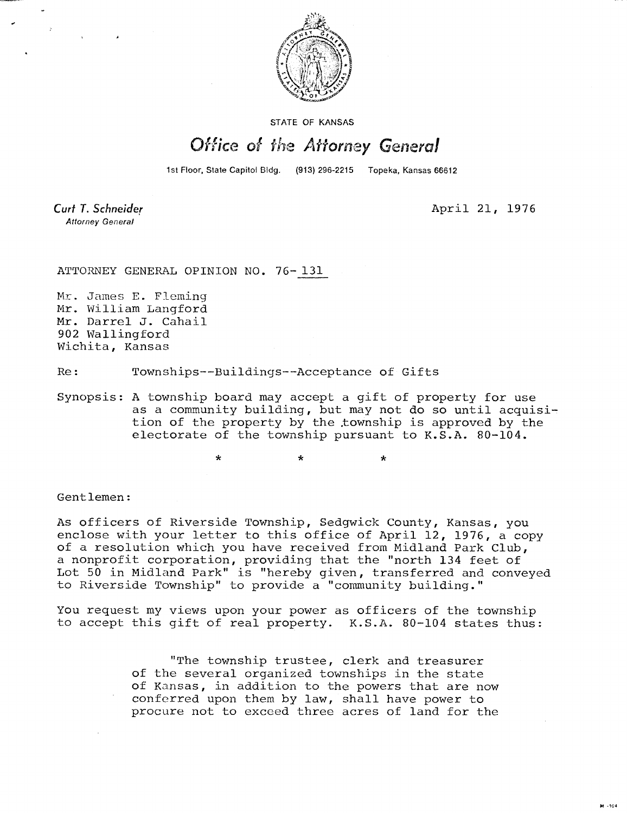

STATE OF KANSAS

## Office of the Attorney General

1st Floor, State Capitol Bldg. (913) 296-2215 Topeka, Kansas 66612

**Attorney General** 

Curt T. Schneider **April 21, 1976** 

ATTORNEY GENERAL OPINION NO. 76- 131

Mr. James E. Fleming Mr. William Langford Mr. Darrel J. Cahail 902 Wallingford Wichita, Kansas

Re: Townships--Buildings--Acceptance of Gifts

Synopsis: A township board may accept a gift of property for use as a community building, but may not do so until acquisition of the property by the township is approved by the electorate of the township pursuant to K.S.A. 80-104.

\* \*

Gentlemen:

As officers of Riverside Township, Sedgwick County, Kansas, you enclose with your letter to this office of April 12, 1976, a copy of a resolution which you have received from Midland Park Club, a nonprofit corporation, providing that the "north 134 feet of Lot 50 in Midland Park" is "hereby given, transferred and conveyed to Riverside Township" to provide a "community building."

You request my views upon your power as officers of the township to accept this gift of real property. K.S.A. 80-104 states thus:

> "The township trustee, clerk and treasurer of the several organized townships in the state of Kansas, in addition to the powers that are now conferred upon them by law, shall have power to procure not to exceed three acres of land for the